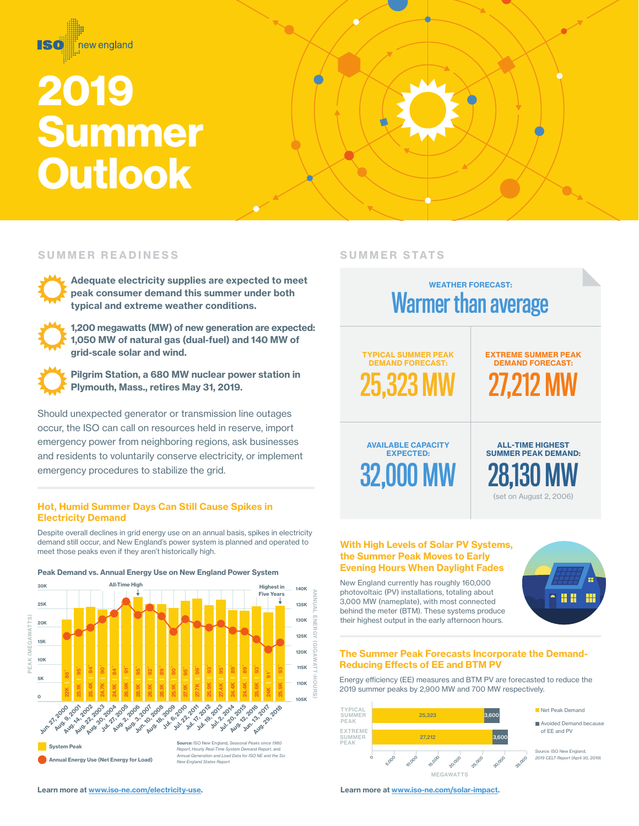

#### SUMMER READINESS

Adequate electricity supplies are expected to meet peak consumer demand this summer under both typical and extreme weather conditions.

1,200 megawatts (MW) of new generation are expected: 1,050 MW of natural gas (dual-fuel) and 140 MW of grid-scale solar and wind.

Pilgrim Station, a 680 MW nuclear power station in Plymouth, Mass., retires May 31, 2019.

Should unexpected generator or transmission line outages occur, the ISO can call on resources held in reserve, import emergency power from neighboring regions, ask businesses and residents to voluntarily conserve electricity, or implement emergency procedures to stabilize the grid.

## Hot, Humid Summer Days Can Still Cause Spikes in Electricity Demand

Despite overall declines in grid energy use on an annual basis, spikes in electricity demand still occur, and New England's power system is planned and operated to meet those peaks even if they aren't historically high.





## SUMMER STATS



#### With High Levels of Solar PV Systems, the Summer Peak Moves to Early Evening Hours When Daylight Fades

New England currently has roughly 160,000 photovoltaic (PV) installations, totaling about 3,000 MW (nameplate), with most connected behind the meter (BTM). These systems produce their highest output in the early afternoon hours.



## The Summer Peak Forecasts Incorporate the Demand-Reducing Effects of EE and BTM PV

Energy efficiency (EE) measures and BTM PV are forecasted to reduce the 2019 summer peaks by 2,900 MW and 700 MW respectively.

| <b>TYPICAL</b><br><b>SUMMER</b> |         |              |              | 25,323 |        |        | 3,600  |              | Net Peak Demand                                               |
|---------------------------------|---------|--------------|--------------|--------|--------|--------|--------|--------------|---------------------------------------------------------------|
| PEAK                            |         |              |              |        |        |        |        |              | Avoided Demand because                                        |
| EXTREME<br>SUMMER<br>PEAK       | 27.212  |              |              |        | 3.600  |        |        | of EE and PV |                                                               |
|                                 | $\circ$ | <b>S.000</b> | <b>vo.oo</b> | 15.000 | 20,000 | 25,000 | 30,000 | 35,000       | Source: ISO New England.<br>2019 CELT Report (April 30, 2019) |

MEGAWATTS